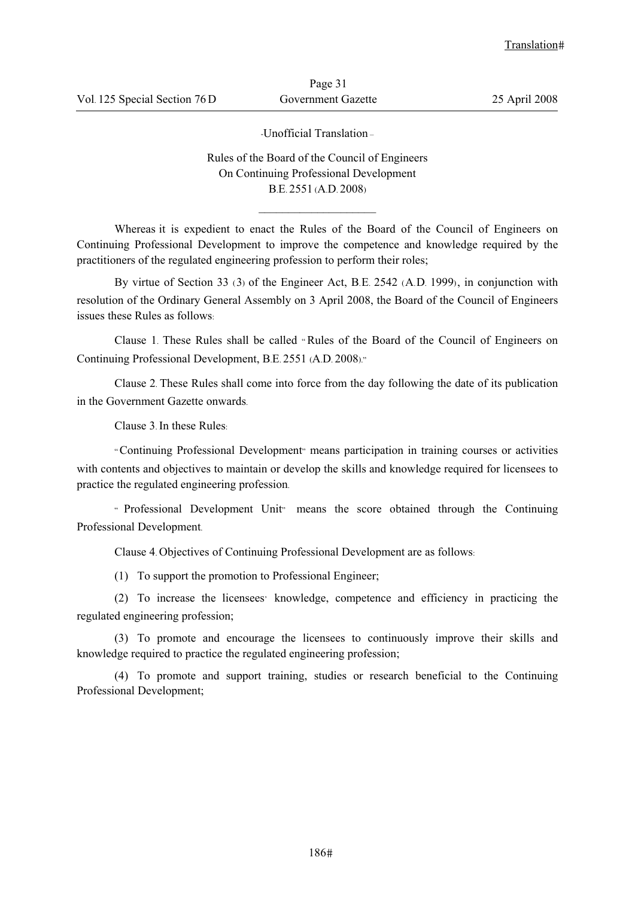-Unofficial Translation –

Rules of the Board of the Council of Engineers On Continuing Professional Development B.E. 2551 (A.D. 2008)

 $\frac{1}{2}$  ,  $\frac{1}{2}$  ,  $\frac{1}{2}$  ,  $\frac{1}{2}$  ,  $\frac{1}{2}$  ,  $\frac{1}{2}$  ,  $\frac{1}{2}$  ,  $\frac{1}{2}$  ,  $\frac{1}{2}$  ,  $\frac{1}{2}$ 

Whereas it is expedient to enact the Rules of the Board of the Council of Engineers on Continuing Professional Development to improve the competence and knowledge required by the practitioners of the regulated engineering profession to perform their roles;

By virtue of Section 33 (3) of the Engineer Act, B.E. 2542 (A.D. 1999), in conjunction with resolution of the Ordinary General Assembly on 3 April 2008, the Board of the Council of Engineers issues these Rules as follows:

Clause 1. These Rules shall be called " Rules of the Board of the Council of Engineers on Continuing Professional Development, B.E. 2551 (A.D. 2008)."

Clause 2. These Rules shall come into force from the day following the date of its publication in the Government Gazette onwards.

Clause 3. In these Rules:

"Continuing Professional Development" means participation in training courses or activities with contents and objectives to maintain or develop the skills and knowledge required for licensees to practice the regulated engineering profession.

" Professional Development Unit" means the score obtained through the Continuing Professional Development.

Clause 4. Objectives of Continuing Professional Development are as follows:

(1) To support the promotion to Professional Engineer;

(2) To increase the licensees' knowledge, competence and efficiency in practicing the regulated engineering profession;

(3) To promote and encourage the licensees to continuously improve their skills and knowledge required to practice the regulated engineering profession;

(4) To promote and support training, studies or research beneficial to the Continuing Professional Development;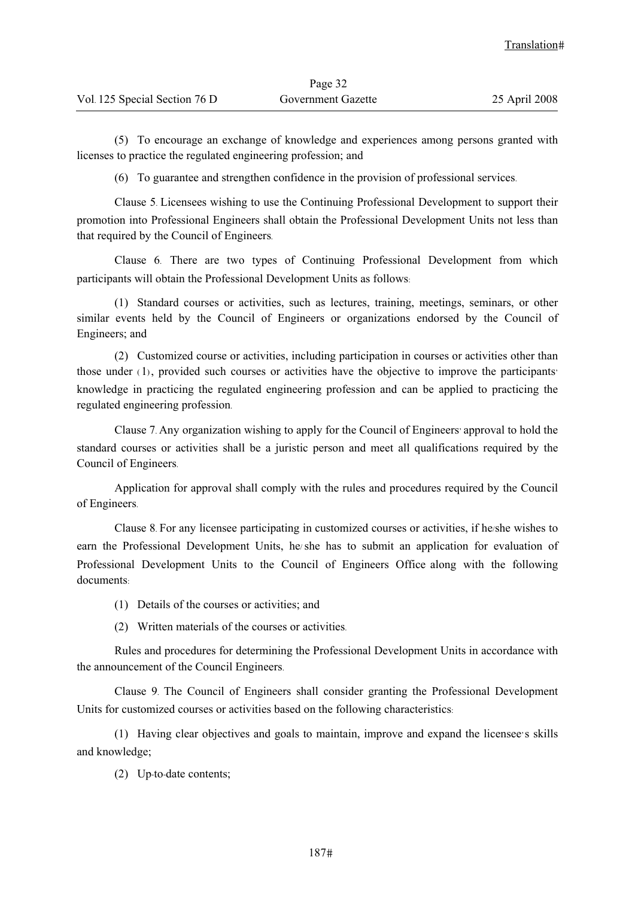(5) To encourage an exchange of knowledge and experiences among persons granted with licenses to practice the regulated engineering profession; and

(6) To guarantee and strengthen confidence in the provision of professional services.

Clause 5. Licensees wishing to use the Continuing Professional Development to support their promotion into Professional Engineers shall obtain the Professional Development Units not less than that required by the Council of Engineers.

Clause 6. There are two types of Continuing Professional Development from which participants will obtain the Professional Development Units as follows:

(1) Standard courses or activities, such as lectures, training, meetings, seminars, or other similar events held by the Council of Engineers or organizations endorsed by the Council of Engineers; and

(2) Customized course or activities, including participation in courses or activities other than those under (1), provided such courses or activities have the objective to improve the participants' knowledge in practicing the regulated engineering profession and can be applied to practicing the regulated engineering profession.

Clause 7. Any organization wishing to apply for the Council of Engineers' approval to hold the standard courses or activities shall be a juristic person and meet all qualifications required by the Council of Engineers.

Application for approval shall comply with the rules and procedures required by the Council of Engineers.

Clause 8. For any licensee participating in customized courses or activities, if he/she wishes to earn the Professional Development Units, he/she has to submit an application for evaluation of Professional Development Units to the Council of Engineers Office along with the following documents:

- (1) Details of the courses or activities; and
- (2) Written materials of the courses or activities.

Rules and procedures for determining the Professional Development Units in accordance with the announcement of the Council Engineers.

Clause 9. The Council of Engineers shall consider granting the Professional Development Units for customized courses or activities based on the following characteristics:

(1) Having clear objectives and goals to maintain, improve and expand the licensee's skills and knowledge;

(2) Up-to-date contents;